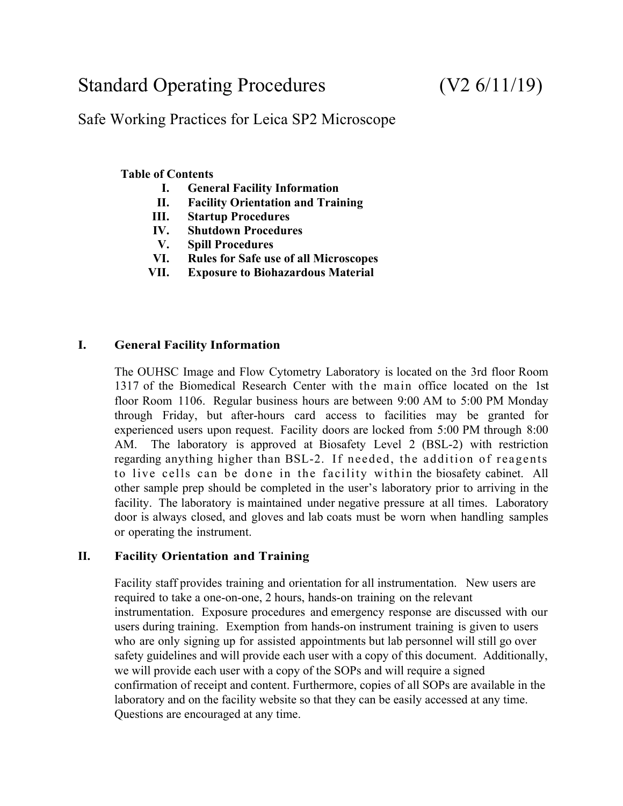# Standard Operating Procedures (V2 6/11/19)

## Safe Working Practices for Leica SP2 Microscope

#### **Table of Contents**

- **I. General Facility Information**
- **II. Facility Orientation and Training**
- **III. Startup Procedures**
- **IV. Shutdown Procedures**
- **V. Spill Procedures**
- **VI. Rules for Safe use of all Microscopes**
- **VII. Exposure to Biohazardous Material**

#### **I. General Facility Information**

The OUHSC Image and Flow Cytometry Laboratory is located on the 3rd floor Room 1317 of the Biomedical Research Center with the main office located on the 1st floor Room 1106. Regular business hours are between 9:00 AM to 5:00 PM Monday through Friday, but after-hours card access to facilities may be granted for experienced users upon request. Facility doors are locked from 5:00 PM through 8:00 AM. The laboratory is approved at Biosafety Level 2 (BSL-2) with restriction regarding anything higher than BSL-2. If needed, the addition of reagents to live cells can be done in the facility within the biosafety cabinet. All other sample prep should be completed in the user's laboratory prior to arriving in the facility. The laboratory is maintained under negative pressure at all times. Laboratory door is always closed, and gloves and lab coats must be worn when handling samples or operating the instrument.

### **II. Facility Orientation and Training**

Facility staff provides training and orientation for all instrumentation. New users are required to take a one-on-one, 2 hours, hands-on training on the relevant instrumentation. Exposure procedures and emergency response are discussed with our users during training. Exemption from hands-on instrument training is given to users who are only signing up for assisted appointments but lab personnel will still go over safety guidelines and will provide each user with a copy of this document. Additionally, we will provide each user with a copy of the SOPs and will require a signed confirmation of receipt and content. Furthermore, copies of all SOPs are available in the laboratory and on the facility website so that they can be easily accessed at any time. Questions are encouraged at any time.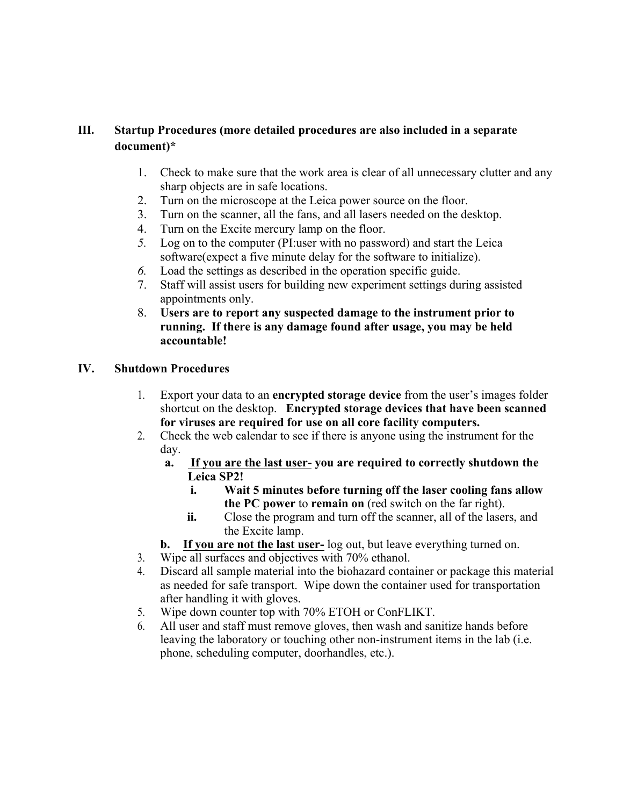#### **III. Startup Procedures (more detailed procedures are also included in a separate document)\***

- 1. Check to make sure that the work area is clear of all unnecessary clutter and any sharp objects are in safe locations.
- 2. Turn on the microscope at the Leica power source on the floor.
- 3. Turn on the scanner, all the fans, and all lasers needed on the desktop.
- 4. Turn on the Excite mercury lamp on the floor.
- *5.* Log on to the computer (PI:user with no password) and start the Leica software(expect a five minute delay for the software to initialize).
- *6.* Load the settings as described in the operation specific guide.
- 7. Staff will assist users for building new experiment settings during assisted appointments only.
- 8. **Users are to report any suspected damage to the instrument prior to running. If there is any damage found after usage, you may be held accountable!**

#### **IV. Shutdown Procedures**

- 1. Export your data to an **encrypted storage device** from the user's images folder shortcut on the desktop. **Encrypted storage devices that have been scanned for viruses are required for use on all core facility computers.**
- 2. Check the web calendar to see if there is anyone using the instrument for the day.
	- **a. If you are the last user- you are required to correctly shutdown the Leica SP2!**
		- **i. Wait 5 minutes before turning off the laser cooling fans allow the PC power** to **remain on** (red switch on the far right).
		- **ii.** Close the program and turn off the scanner, all of the lasers, and the Excite lamp.
	- **b. If you are not the last user-** log out, but leave everything turned on.
- 3. Wipe all surfaces and objectives with 70% ethanol.
- 4. Discard all sample material into the biohazard container or package this material as needed for safe transport. Wipe down the container used for transportation after handling it with gloves.
- 5. Wipe down counter top with 70% ETOH or ConFLIKT.
- 6. All user and staff must remove gloves, then wash and sanitize hands before leaving the laboratory or touching other non-instrument items in the lab (i.e. phone, scheduling computer, doorhandles, etc.).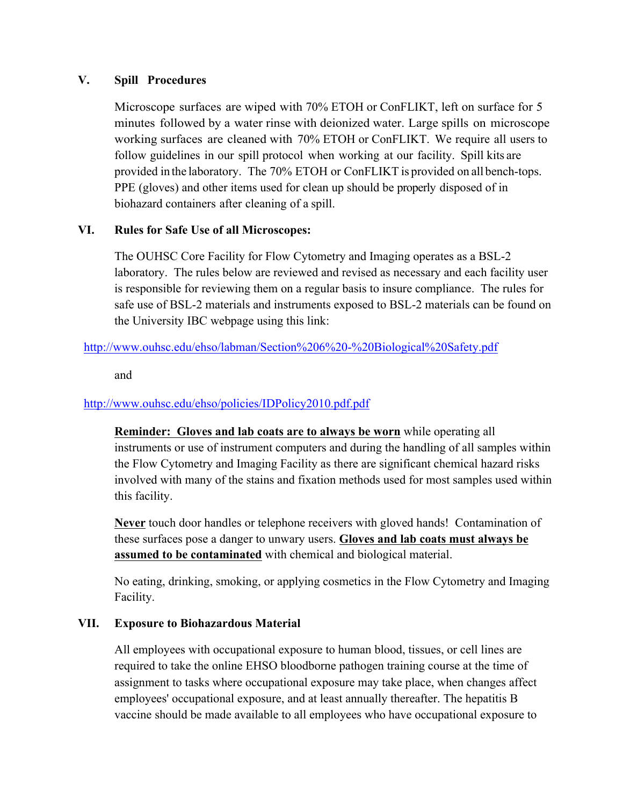#### **V. Spill Procedures**

Microscope surfaces are wiped with 70% ETOH or ConFLIKT, left on surface for 5 minutes followed by a water rinse with deionized water. Large spills on microscope working surfaces are cleaned with 70% ETOH or ConFLIKT. We require all users to follow guidelines in our spill protocol when working at our facility. Spill kits are provided in the laboratory. The 70% ETOH or ConFLIKT is provided on all bench-tops. PPE (gloves) and other items used for clean up should be properly disposed of in biohazard containers after cleaning of a spill.

#### **VI. Rules for Safe Use of all Microscopes:**

The OUHSC Core Facility for Flow Cytometry and Imaging operates as a BSL-2 laboratory. The rules below are reviewed and revised as necessary and each facility user is responsible for reviewing them on a regular basis to insure compliance. The rules for safe use of BSL-2 materials and instruments exposed to BSL-2 materials can be found on the University IBC webpage using this link:

#### http://www.ouhsc.edu/ehso/labman/Section%206%20-%20Biological%20Safety.pdf

and

#### http://www.ouhsc.edu/ehso/policies/IDPolicy2010.pdf.pdf

**Reminder: Gloves and lab coats are to always be worn** while operating all instruments or use of instrument computers and during the handling of all samples within the Flow Cytometry and Imaging Facility as there are significant chemical hazard risks involved with many of the stains and fixation methods used for most samples used within this facility.

**Never** touch door handles or telephone receivers with gloved hands! Contamination of these surfaces pose a danger to unwary users. **Gloves and lab coats must always be assumed to be contaminated** with chemical and biological material.

No eating, drinking, smoking, or applying cosmetics in the Flow Cytometry and Imaging Facility.

#### **VII. Exposure to Biohazardous Material**

All employees with occupational exposure to human blood, tissues, or cell lines are required to take the online EHSO bloodborne pathogen training course at the time of assignment to tasks where occupational exposure may take place, when changes affect employees' occupational exposure, and at least annually thereafter. The hepatitis B vaccine should be made available to all employees who have occupational exposure to